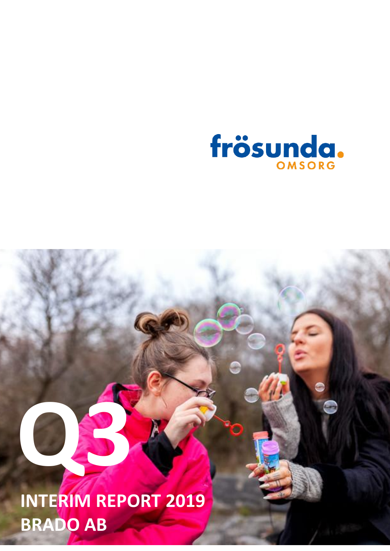

# **Q3 INTERIM REPORT 2019 BRADO AB**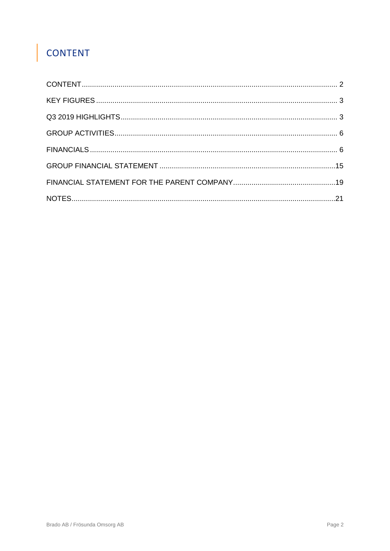## <span id="page-1-0"></span>**CONTENT**

I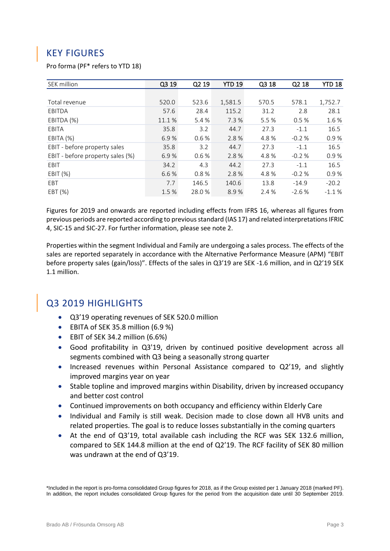## <span id="page-2-0"></span>KEY FIGURES

#### Pro forma (PF\* refers to YTD 18)

| SEK million                      | Q3 19  | Q <sub>2</sub> 19 | <b>YTD 19</b> | Q3 18 | Q <sub>2</sub> 18 | <b>YTD 18</b> |
|----------------------------------|--------|-------------------|---------------|-------|-------------------|---------------|
|                                  |        |                   |               |       |                   |               |
| Total revenue                    | 520.0  | 523.6             | 1,581.5       | 570.5 | 578.1             | 1,752.7       |
| EBITDA                           | 57.6   | 28.4              | 115.2         | 31.2  | 2.8               | 28.1          |
| EBITDA (%)                       | 11.1 % | 5.4 %             | 7.3%          | 5.5 % | 0.5%              | 1.6%          |
| <b>EBITA</b>                     | 35.8   | 3.2               | 44.7          | 27.3  | $-1.1$            | 16.5          |
| EBITA (%)                        | 6.9%   | 0.6%              | 2.8%          | 4.8%  | $-0.2%$           | 0.9%          |
| EBIT - before property sales     | 35.8   | 3.2               | 44.7          | 27.3  | $-1.1$            | 16.5          |
| EBIT - before property sales (%) | 6.9%   | 0.6%              | 2.8%          | 4.8%  | $-0.2%$           | 0.9%          |
| <b>EBIT</b>                      | 34.2   | 4.3               | 44.2          | 27.3  | $-1.1$            | 16.5          |
| EBIT (%)                         | 6.6 %  | 0.8%              | 2.8%          | 4.8%  | $-0.2%$           | 0.9%          |
| EBT                              | 7.7    | 146.5             | 140.6         | 13.8  | $-14.9$           | $-20.2$       |
| EBT (%)                          | 1.5 %  | 28.0%             | 8.9%          | 2.4 % | $-2.6%$           | $-1.1%$       |

Figures for 2019 and onwards are reported including effects from IFRS 16, whereas all figures from previous periods are reported according to previous standard (IAS 17) and related interpretations IFRIC 4, SIC-15 and SIC-27. For further information, please see note 2.

Properties within the segment Individual and Family are undergoing a sales process. The effects of the sales are reported separately in accordance with the Alternative Performance Measure (APM) "EBIT before property sales (gain/loss)". Effects of the sales in Q3'19 are SEK -1.6 million, and in Q2'19 SEK 1.1 million.

## <span id="page-2-1"></span>Q3 2019 HIGHLIGHTS

- Q3'19 operating revenues of SEK 520.0 million
- EBITA of SEK 35.8 million (6.9 %)
- EBIT of SEK 34.2 million (6.6%)
- Good profitability in Q3'19, driven by continued positive development across all segments combined with Q3 being a seasonally strong quarter
- Increased revenues within Personal Assistance compared to Q2'19, and slightly improved margins year on year
- Stable topline and improved margins within Disability, driven by increased occupancy and better cost control
- Continued improvements on both occupancy and efficiency within Elderly Care
- Individual and Family is still weak. Decision made to close down all HVB units and related properties. The goal is to reduce losses substantially in the coming quarters
- At the end of Q3'19, total available cash including the RCF was SEK 132.6 million, compared to SEK 144.8 million at the end of Q2'19. The RCF facility of SEK 80 million was undrawn at the end of Q3'19.

\*Included in the report is pro-forma consolidated Group figures for 2018, as if the Group existed per 1 January 2018 (marked PF). In addition, the report includes consolidated Group figures for the period from the acquisition date until 30 September 2019.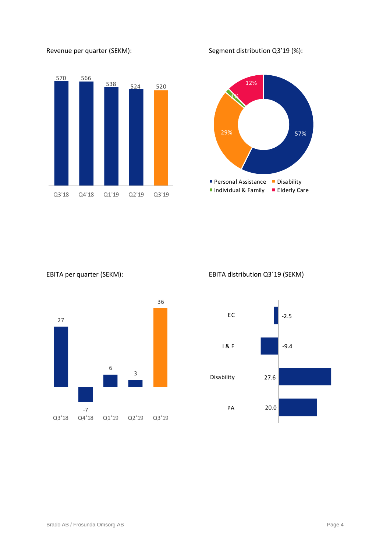

#### Revenue per quarter (SEKM): Segment distribution Q3'19 (%):





EBITA per quarter (SEKM): EBITA distribution Q3´19 (SEKM)

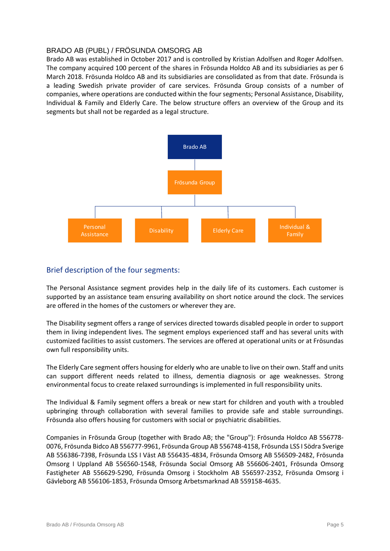#### BRADO AB (PUBL) / FRÖSUNDA OMSORG AB

Brado AB was established in October 2017 and is controlled by Kristian Adolfsen and Roger Adolfsen. The company acquired 100 percent of the shares in Frösunda Holdco AB and its subsidiaries as per 6 March 2018. Frösunda Holdco AB and its subsidiaries are consolidated as from that date. Frösunda is a leading Swedish private provider of care services. Frösunda Group consists of a number of companies, where operations are conducted within the four segments; Personal Assistance, Disability, Individual & Family and Elderly Care. The below structure offers an overview of the Group and its segments but shall not be regarded as a legal structure.



#### Brief description of the four segments:

The Personal Assistance segment provides help in the daily life of its customers. Each customer is supported by an assistance team ensuring availability on short notice around the clock. The services are offered in the homes of the customers or wherever they are.

The Disability segment offers a range of services directed towards disabled people in order to support them in living independent lives. The segment employs experienced staff and has several units with customized facilities to assist customers. The services are offered at operational units or at Frösundas own full responsibility units.

The Elderly Care segment offers housing for elderly who are unable to live on their own. Staff and units can support different needs related to illness, dementia diagnosis or age weaknesses. Strong environmental focus to create relaxed surroundings is implemented in full responsibility units.

The Individual & Family segment offers a break or new start for children and youth with a troubled upbringing through collaboration with several families to provide safe and stable surroundings. Frösunda also offers housing for customers with social or psychiatric disabilities.

Companies in Frösunda Group (together with Brado AB; the "Group"): Frösunda Holdco AB 556778- 0076, Frösunda Bidco AB 556777-9961, Frösunda Group AB 556748-4158, Frösunda LSS I Södra Sverige AB 556386-7398, Frösunda LSS I Väst AB 556435-4834, Frösunda Omsorg AB 556509-2482, Frösunda Omsorg I Uppland AB 556560-1548, Frösunda Social Omsorg AB 556606-2401, Frösunda Omsorg Fastigheter AB 556629-5290, Frösunda Omsorg i Stockholm AB 556597-2352, Frösunda Omsorg i Gävleborg AB 556106-1853, Frösunda Omsorg Arbetsmarknad AB 559158-4635.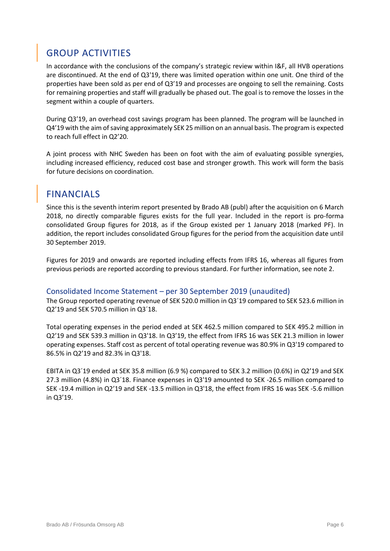## <span id="page-5-0"></span>GROUP ACTIVITIES

In accordance with the conclusions of the company's strategic review within I&F, all HVB operations are discontinued. At the end of Q3'19, there was limited operation within one unit. One third of the properties have been sold as per end of Q3'19 and processes are ongoing to sell the remaining. Costs for remaining properties and staff will gradually be phased out. The goal is to remove the losses in the segment within a couple of quarters.

During Q3'19, an overhead cost savings program has been planned. The program will be launched in Q4'19 with the aim of saving approximately SEK 25 million on an annual basis. The program is expected to reach full effect in Q2'20.

A joint process with NHC Sweden has been on foot with the aim of evaluating possible synergies, including increased efficiency, reduced cost base and stronger growth. This work will form the basis for future decisions on coordination.

## <span id="page-5-1"></span>FINANCIALS

Since this is the seventh interim report presented by Brado AB (publ) after the acquisition on 6 March 2018, no directly comparable figures exists for the full year. Included in the report is pro-forma consolidated Group figures for 2018, as if the Group existed per 1 January 2018 (marked PF). In addition, the report includes consolidated Group figures for the period from the acquisition date until 30 September 2019.

Figures for 2019 and onwards are reported including effects from IFRS 16, whereas all figures from previous periods are reported according to previous standard. For further information, see note 2.

#### Consolidated Income Statement – per 30 September 2019 (unaudited)

The Group reported operating revenue of SEK 520.0 million in Q3´19 compared to SEK 523.6 million in Q2'19 and SEK 570.5 million in Q3´18.

Total operating expenses in the period ended at SEK 462.5 million compared to SEK 495.2 million in Q2'19 and SEK 539.3 million in Q3'18. In Q3'19, the effect from IFRS 16 was SEK 21.3 million in lower operating expenses. Staff cost as percent of total operating revenue was 80.9% in Q3'19 compared to 86.5% in Q2'19 and 82.3% in Q3'18.

EBITA in Q3´19 ended at SEK 35.8 million (6.9 %) compared to SEK 3.2 million (0.6%) in Q2'19 and SEK 27.3 million (4.8%) in Q3´18. Finance expenses in Q3'19 amounted to SEK -26.5 million compared to SEK -19.4 million in Q2'19 and SEK -13.5 million in Q3'18, the effect from IFRS 16 was SEK -5.6 million in Q3'19.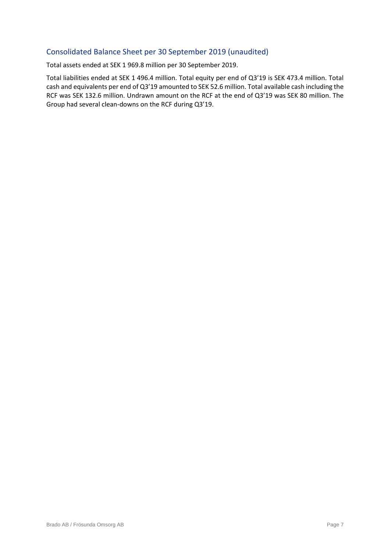#### Consolidated Balance Sheet per 30 September 2019 (unaudited)

Total assets ended at SEK 1 969.8 million per 30 September 2019.

Total liabilities ended at SEK 1 496.4 million. Total equity per end of Q3'19 is SEK 473.4 million. Total cash and equivalents per end of Q3'19 amounted to SEK 52.6 million. Total available cash including the RCF was SEK 132.6 million. Undrawn amount on the RCF at the end of Q3'19 was SEK 80 million. The Group had several clean-downs on the RCF during Q3'19.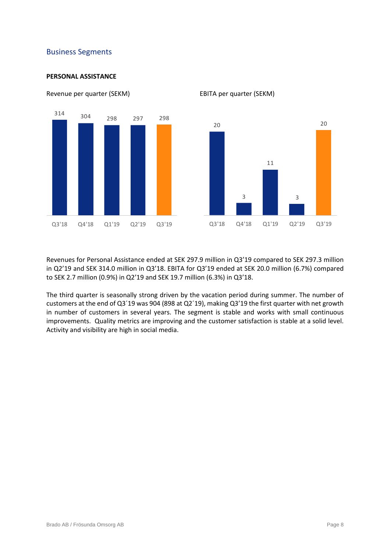#### Business Segments

#### **PERSONAL ASSISTANCE**



Revenue per quarter (SEKM) EBITA per quarter (SEKM)

Revenues for Personal Assistance ended at SEK 297.9 million in Q3'19 compared to SEK 297.3 million in Q2'19 and SEK 314.0 million in Q3'18. EBITA for Q3'19 ended at SEK 20.0 million (6.7%) compared to SEK 2.7 million (0.9%) in Q2'19 and SEK 19.7 million (6.3%) in Q3'18.

The third quarter is seasonally strong driven by the vacation period during summer. The number of customers at the end of Q3´19 was 904 (898 at Q2´19), making Q3'19 the first quarter with net growth in number of customers in several years. The segment is stable and works with small continuous improvements. Quality metrics are improving and the customer satisfaction is stable at a solid level. Activity and visibility are high in social media.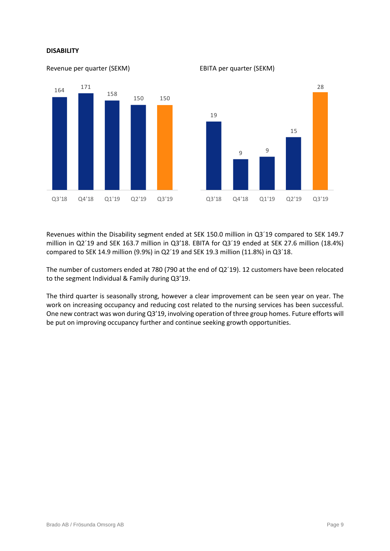#### **DISABILITY**



Revenue per quarter (SEKM) EBITA per quarter (SEKM)



Revenues within the Disability segment ended at SEK 150.0 million in Q3´19 compared to SEK 149.7 million in Q2´19 and SEK 163.7 million in Q3'18. EBITA for Q3´19 ended at SEK 27.6 million (18.4%) compared to SEK 14.9 million (9.9%) in Q2´19 and SEK 19.3 million (11.8%) in Q3´18.

The number of customers ended at 780 (790 at the end of Q2´19). 12 customers have been relocated to the segment Individual & Family during Q3'19.

The third quarter is seasonally strong, however a clear improvement can be seen year on year. The work on increasing occupancy and reducing cost related to the nursing services has been successful. One new contract was won during Q3'19, involving operation of three group homes. Future efforts will be put on improving occupancy further and continue seeking growth opportunities.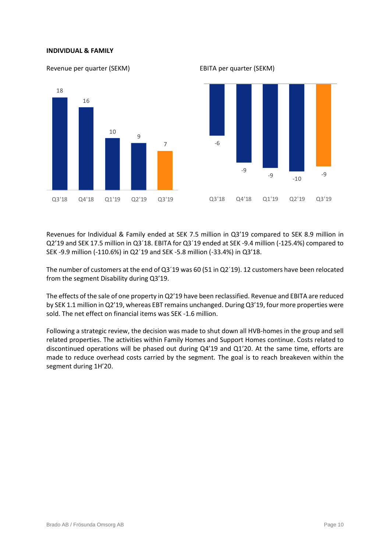#### **INDIVIDUAL & FAMILY**

Revenue per quarter (SEKM) EBITA per quarter (SEKM) 18 16 10 9 7 Q3'18 Q4'18 Q1'19 Q2'19 Q3'19 -6 -9 -9 -10 -9 Q3'18 Q4'18 Q1'19 Q2'19 Q3'19

Revenues for Individual & Family ended at SEK 7.5 million in Q3'19 compared to SEK 8.9 million in Q2'19 and SEK 17.5 million in Q3´18. EBITA for Q3´19 ended at SEK -9.4 million (-125.4%) compared to SEK -9.9 million (-110.6%) in Q2´19 and SEK -5.8 million (-33.4%) in Q3'18.

The number of customers at the end of Q3´19 was 60 (51 in Q2´19). 12 customers have been relocated from the segment Disability during Q3'19.

The effects of the sale of one property in Q2'19 have been reclassified. Revenue and EBITA are reduced by SEK 1.1 million in Q2'19, whereas EBT remains unchanged. During Q3'19, four more properties were sold. The net effect on financial items was SEK -1.6 million.

Following a strategic review, the decision was made to shut down all HVB-homes in the group and sell related properties. The activities within Family Homes and Support Homes continue. Costs related to discontinued operations will be phased out during Q4'19 and Q1'20. At the same time, efforts are made to reduce overhead costs carried by the segment. The goal is to reach breakeven within the segment during 1H'20.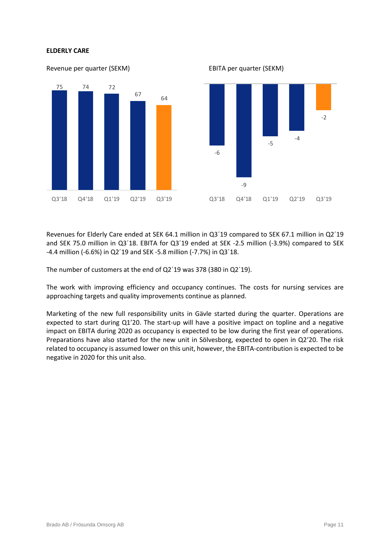#### **ELDERLY CARE**



Revenues for Elderly Care ended at SEK 64.1 million in Q3´19 compared to SEK 67.1 million in Q2´19 and SEK 75.0 million in Q3´18. EBITA for Q3´19 ended at SEK -2.5 million (-3.9%) compared to SEK -4.4 million (-6.6%) in Q2´19 and SEK -5.8 million (-7.7%) in Q3´18.

The number of customers at the end of Q2'19 was 378 (380 in Q2'19).

The work with improving efficiency and occupancy continues. The costs for nursing services are approaching targets and quality improvements continue as planned.

Marketing of the new full responsibility units in Gävle started during the quarter. Operations are expected to start during Q1'20. The start-up will have a positive impact on topline and a negative impact on EBITA during 2020 as occupancy is expected to be low during the first year of operations. Preparations have also started for the new unit in Sölvesborg, expected to open in Q2'20. The risk related to occupancy is assumed lower on this unit, however, the EBITA-contribution is expected to be negative in 2020 for this unit also.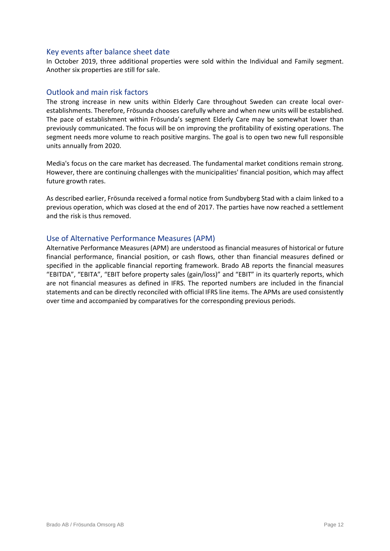#### Key events after balance sheet date

In October 2019, three additional properties were sold within the Individual and Family segment. Another six properties are still for sale.

#### Outlook and main risk factors

The strong increase in new units within Elderly Care throughout Sweden can create local overestablishments. Therefore, Frösunda chooses carefully where and when new units will be established. The pace of establishment within Frösunda's segment Elderly Care may be somewhat lower than previously communicated. The focus will be on improving the profitability of existing operations. The segment needs more volume to reach positive margins. The goal is to open two new full responsible units annually from 2020.

Media's focus on the care market has decreased. The fundamental market conditions remain strong. However, there are continuing challenges with the municipalities' financial position, which may affect future growth rates.

As described earlier, Frösunda received a formal notice from Sundbyberg Stad with a claim linked to a previous operation, which was closed at the end of 2017. The parties have now reached a settlement and the risk is thus removed.

#### Use of Alternative Performance Measures (APM)

Alternative Performance Measures (APM) are understood as financial measures of historical or future financial performance, financial position, or cash flows, other than financial measures defined or specified in the applicable financial reporting framework. Brado AB reports the financial measures "EBITDA", "EBITA", "EBIT before property sales (gain/loss)" and "EBIT" in its quarterly reports, which are not financial measures as defined in IFRS. The reported numbers are included in the financial statements and can be directly reconciled with official IFRS line items. The APMs are used consistently over time and accompanied by comparatives for the corresponding previous periods.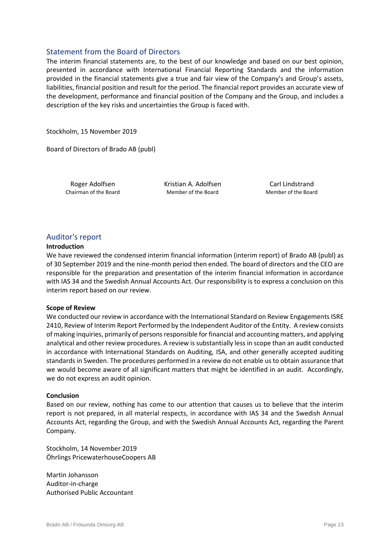#### Statement from the Board of Directors

The interim financial statements are, to the best of our knowledge and based on our best opinion, presented in accordance with International Financial Reporting Standards and the information provided in the financial statements give a true and fair view of the Company's and Group's assets, liabilities, financial position and result for the period. The financial report provides an accurate view of the development, performance and financial position of the Company and the Group, and includes a description of the key risks and uncertainties the Group is faced with.

Stockholm, 15 November 2019

Board of Directors of Brado AB (publ)

Roger Adolfsen The Kristian A. Adolfsen The Carl Lindstrand Chairman of the Board Member of the Board Member of the Board

#### Auditor's report

#### **Introduction**

We have reviewed the condensed interim financial information (interim report) of Brado AB (publ) as of 30 September 2019 and the nine-month period then ended. The board of directors and the CEO are responsible for the preparation and presentation of the interim financial information in accordance with IAS 34 and the Swedish Annual Accounts Act. Our responsibility is to express a conclusion on this interim report based on our review.

#### **Scope of Review**

We conducted our review in accordance with the International Standard on Review Engagements ISRE 2410, Review of Interim Report Performed by the Independent Auditor of the Entity. A review consists of making inquiries, primarily of persons responsible for financial and accounting matters, and applying analytical and other review procedures. A review is substantially less in scope than an audit conducted in accordance with International Standards on Auditing, ISA, and other generally accepted auditing standards in Sweden. The procedures performed in a review do not enable us to obtain assurance that we would become aware of all significant matters that might be identified in an audit. Accordingly, we do not express an audit opinion.

#### **Conclusion**

Based on our review, nothing has come to our attention that causes us to believe that the interim report is not prepared, in all material respects, in accordance with IAS 34 and the Swedish Annual Accounts Act, regarding the Group, and with the Swedish Annual Accounts Act, regarding the Parent Company.

Stockholm, 14 November 2019 Öhrlings PricewaterhouseCoopers AB

Martin Johansson Auditor-in-charge Authorised Public Accountant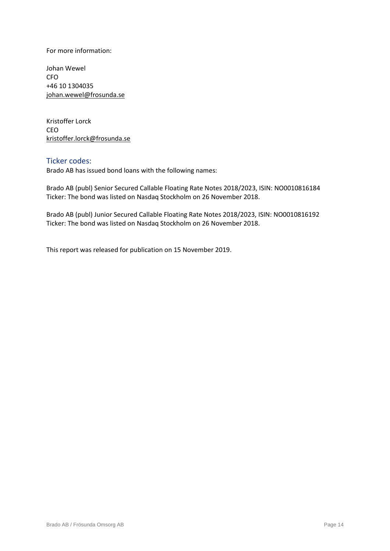For more information:

Johan Wewel CFO +46 10 1304035 [johan.wewel@frosunda.se](mailto:johan.wewel@frosunda.se)

Kristoffer Lorck CEO [kristoffer.lorck@frosunda.se](mailto:kristoffer.lorck@frosunda.se)

#### Ticker codes:

Brado AB has issued bond loans with the following names:

Brado AB (publ) Senior Secured Callable Floating Rate Notes 2018/2023, ISIN: NO0010816184 Ticker: The bond was listed on Nasdaq Stockholm on 26 November 2018.

Brado AB (publ) Junior Secured Callable Floating Rate Notes 2018/2023, ISIN: NO0010816192 Ticker: The bond was listed on Nasdaq Stockholm on 26 November 2018.

This report was released for publication on 15 November 2019.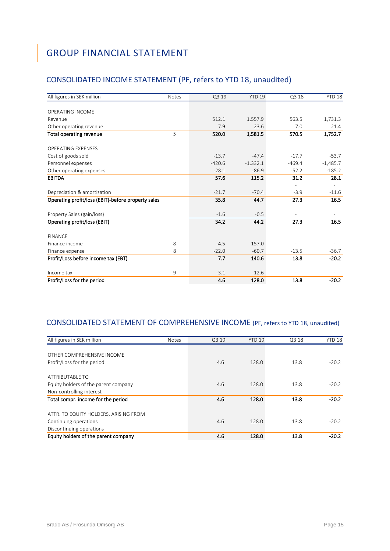## <span id="page-14-0"></span>GROUP FINANCIAL STATEMENT

## CONSOLIDATED INCOME STATEMENT (PF, refers to YTD 18, unaudited)

| All figures in SEK million                         | <b>Notes</b> | Q3 19    | <b>YTD 19</b> | Q3 18    | YTD 18     |
|----------------------------------------------------|--------------|----------|---------------|----------|------------|
|                                                    |              |          |               |          |            |
| OPERATING INCOME                                   |              |          |               |          |            |
| Revenue                                            |              | 512.1    | 1,557.9       | 563.5    | 1,731.3    |
| Other operating revenue                            |              | 7.9      | 23.6          | 7.0      | 21.4       |
| <b>Total operating revenue</b>                     | 5            | 520.0    | 1,581.5       | 570.5    | 1,752.7    |
| <b>OPERATING EXPENSES</b>                          |              |          |               |          |            |
| Cost of goods sold                                 |              | $-13.7$  | $-47.4$       | $-17.7$  | $-53.7$    |
| Personnel expenses                                 |              | $-420.6$ | $-1,332.1$    | $-469.4$ | $-1,485.7$ |
| Other operating expenses                           |              | $-28.1$  | $-86.9$       | $-52.2$  | $-185.2$   |
| <b>EBITDA</b>                                      |              | 57.6     | 115.2         | 31.2     | 28.1       |
|                                                    |              |          |               |          |            |
| Depreciation & amortization                        |              | $-21.7$  | $-70.4$       | $-3.9$   | $-11.6$    |
| Operating profit/loss (EBIT)-before property sales |              | 35.8     | 44.7          | 27.3     | 16.5       |
|                                                    |              |          |               |          |            |
| Property Sales (gain/loss)                         |              | $-1.6$   | $-0.5$        |          |            |
| Operating profit/loss (EBIT)                       |              | 34.2     | 44.2          | 27.3     | 16.5       |
| <b>FINANCE</b>                                     |              |          |               |          |            |
| Finance income                                     | 8            | $-4.5$   | 157.0         |          |            |
| Finance expense                                    | 8            | $-22.0$  | $-60.7$       | $-13.5$  | $-36.7$    |
| Profit/Loss before income tax (EBT)                |              | 7.7      | 140.6         | 13.8     | $-20.2$    |
| Income tax                                         | 9            | $-3.1$   | $-12.6$       |          |            |
| Profit/Loss for the period                         |              | 4.6      | 128.0         | 13.8     | $-20.2$    |

#### CONSOLIDATED STATEMENT OF COMPREHENSIVE INCOME (PF, refers to YTD 18, unaudited)

| All figures in SEK million            | <b>Notes</b> | Q3 19 | <b>YTD 19</b>            | Q3 18 | YTD <sub>18</sub> |
|---------------------------------------|--------------|-------|--------------------------|-------|-------------------|
|                                       |              |       |                          |       |                   |
| OTHER COMPREHENSIVE INCOME            |              |       |                          |       |                   |
| Profit/Loss for the period            |              | 4.6   | 128.0                    | 13.8  | $-20.2$           |
|                                       |              |       |                          |       |                   |
| <b>ATTRIBUTABLE TO</b>                |              |       |                          |       |                   |
| Equity holders of the parent company  |              | 4.6   | 128.0                    | 13.8  | $-20.2$           |
| Non-controlling interest              |              |       | $\overline{\phantom{0}}$ | ۰     |                   |
| Total compr. income for the period    |              | 4.6   | 128.0                    | 13.8  | $-20.2$           |
| ATTR. TO EQUITY HOLDERS, ARISING FROM |              |       |                          |       |                   |
| Continuing operations                 |              | 4.6   | 128.0                    | 13.8  | $-20.2$           |
| Discontinuing operations              |              |       |                          |       |                   |
| Equity holders of the parent company  |              | 4.6   | 128.0                    | 13.8  | $-20.2$           |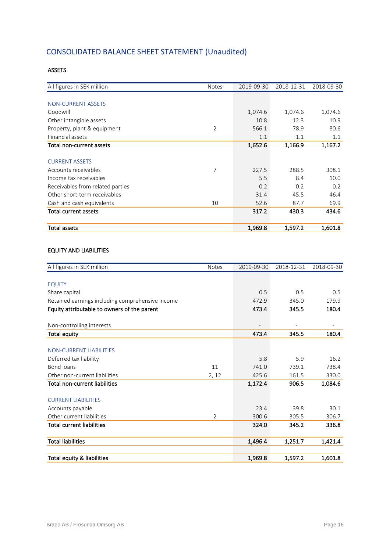## CONSOLIDATED BALANCE SHEET STATEMENT (Unaudited)

#### ASSETS

| All figures in SEK million       | <b>Notes</b> | 2019-09-30 | 2018-12-31 | 2018-09-30 |
|----------------------------------|--------------|------------|------------|------------|
|                                  |              |            |            |            |
| <b>NON-CURRENT ASSETS</b>        |              |            |            |            |
| Goodwill                         |              | 1,074.6    | 1,074.6    | 1,074.6    |
| Other intangible assets          |              | 10.8       | 12.3       | 10.9       |
| Property, plant & equipment      | 2            | 566.1      | 78.9       | 80.6       |
| Financial assets                 |              | 1.1        | 1.1        | 1.1        |
| Total non-current assets         |              | 1,652.6    | 1,166.9    | 1,167.2    |
|                                  |              |            |            |            |
| <b>CURRENT ASSETS</b>            |              |            |            |            |
| Accounts receivables             | 7            | 227.5      | 288.5      | 308.1      |
| Income tax receivables           |              | 5.5        | 8.4        | 10.0       |
| Receivables from related parties |              | 0.2        | 0.2        | 0.2        |
| Other short-term receivables     |              | 31.4       | 45.5       | 46.4       |
| Cash and cash equivalents        | 10           | 52.6       | 87.7       | 69.9       |
| <b>Total current assets</b>      |              | 317.2      | 430.3      | 434.6      |
|                                  |              |            |            |            |
| <b>Total assets</b>              |              | 1,969.8    | 1,597.2    | 1,601.8    |

#### EQUITY AND LIABILITIES

| All figures in SEK million                       | <b>Notes</b>   | 2019-09-30 | 2018-12-31 | 2018-09-30 |
|--------------------------------------------------|----------------|------------|------------|------------|
|                                                  |                |            |            |            |
| <b>EQUITY</b>                                    |                |            |            |            |
| Share capital                                    |                | 0.5        | 0.5        | 0.5        |
| Retained earnings including comprehensive income |                | 472.9      | 345.0      | 179.9      |
| Equity attributable to owners of the parent      |                | 473.4      | 345.5      | 180.4      |
| Non-controlling interests                        |                |            |            |            |
| <b>Total equity</b>                              |                | 473.4      | 345.5      | 180.4      |
|                                                  |                |            |            |            |
| <b>NON-CURRENT LIABILITIES</b>                   |                |            |            |            |
| Deferred tax liability                           |                | 5.8        | 5.9        | 16.2       |
| Bond loans                                       | 11             | 741.0      | 739.1      | 738.4      |
| Other non-current liabilities                    | 2, 12          | 425.6      | 161.5      | 330.0      |
| <b>Total non-current liabilities</b>             |                | 1,172.4    | 906.5      | 1,084.6    |
| <b>CURRENT LIABILITIES</b>                       |                |            |            |            |
| Accounts payable                                 |                | 23.4       | 39.8       | 30.1       |
| Other current liabilities                        | $\overline{2}$ | 300.6      | 305.5      | 306.7      |
| <b>Total current liabilities</b>                 |                | 324.0      | 345.2      | 336.8      |
| <b>Total liabilities</b>                         |                | 1,496.4    | 1,251.7    | 1,421.4    |
| Total equity & liabilities                       |                | 1,969.8    | 1,597.2    | 1,601.8    |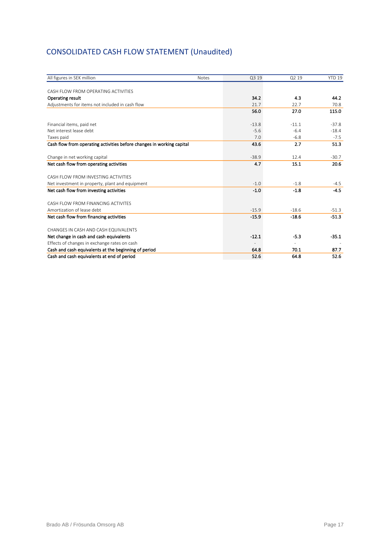## CONSOLIDATED CASH FLOW STATEMENT (Unaudited)

| All figures in SEK million                                            | <b>Notes</b> | Q3 19   | Q2 19   | <b>YTD 19</b> |
|-----------------------------------------------------------------------|--------------|---------|---------|---------------|
|                                                                       |              |         |         |               |
| CASH FLOW FROM OPERATING ACTIVITIES                                   |              |         |         |               |
| Operating result                                                      |              | 34.2    | 4.3     | 44.2          |
| Adjustments for items not included in cash flow                       |              | 21.7    | 22.7    | 70.8          |
|                                                                       |              | 56.0    | 27.0    | 115.0         |
| Financial items, paid net                                             |              | $-13.8$ | $-11.1$ | $-37.8$       |
| Net interest lease debt.                                              |              | $-5.6$  | $-6.4$  | $-18.4$       |
| Taxes paid                                                            |              | 7.0     | $-6.8$  | $-7.5$        |
| Cash flow from operating activities before changes in working capital |              | 43.6    | 2.7     | 51.3          |
| Change in net working capital                                         |              | $-38.9$ | 12.4    | $-30.7$       |
| Net cash flow from operating activities                               |              | 4.7     | 15.1    | 20.6          |
| CASH FLOW FROM INVESTING ACTIVITIES                                   |              |         |         |               |
| Net investment in property, plant and equipment                       |              | $-1.0$  | $-1.8$  | $-4.5$        |
| Net cash flow from investing activities                               |              | $-1.0$  | $-1.8$  | $-4.5$        |
| CASH FLOW FROM FINANCING ACTIVITES                                    |              |         |         |               |
| Amortization of lease debt                                            |              | $-15.9$ | $-18.6$ | $-51.3$       |
| Net cash flow from financing activities                               |              | $-15.9$ | $-18.6$ | $-51.3$       |
| CHANGES IN CASH AND CASH EQUIVALENTS                                  |              |         |         |               |
| Net change in cash and cash equivalents                               |              | $-12.1$ | $-5.3$  | $-35.1$       |
| Effects of changes in exchange rates on cash                          |              |         |         |               |
| Cash and cash equivalents at the beginning of period                  |              | 64.8    | 70.1    | 87.7          |
| Cash and cash equivalents at end of period                            |              | 52.6    | 64.8    | 52.6          |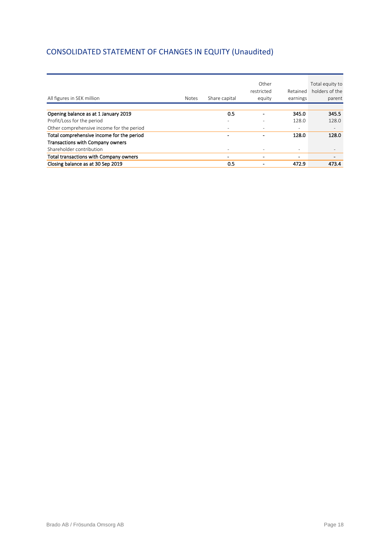## CONSOLIDATED STATEMENT OF CHANGES IN EQUITY (Unaudited)

| All figures in SEK million                | <b>Notes</b> | Share capital | Other<br>restricted<br>equity | Retained<br>earnings     | Total equity to<br>holders of the<br>parent |
|-------------------------------------------|--------------|---------------|-------------------------------|--------------------------|---------------------------------------------|
|                                           |              |               |                               |                          |                                             |
| Opening balance as at 1 January 2019      |              | 0.5           |                               | 345.0                    | 345.5                                       |
| Profit/Loss for the period                |              |               |                               | 128.0                    | 128.0                                       |
| Other comprehensive income for the period |              |               | ٠                             | $\overline{\phantom{0}}$ |                                             |
| Total comprehensive income for the period |              |               | ۰                             | 128.0                    | 128.0                                       |
| Transactions with Company owners          |              |               |                               |                          |                                             |
| Shareholder contribution                  |              |               |                               | $\overline{\phantom{a}}$ |                                             |
| Total transactions with Company owners    |              |               | ۰                             | -                        |                                             |
| Closing balance as at 30 Sep 2019         |              | 0.5           |                               | 472.9                    | 473.4                                       |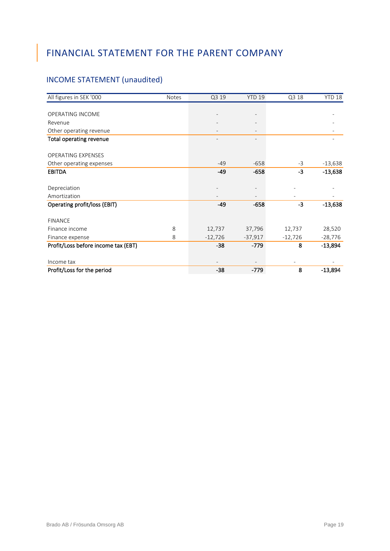## <span id="page-18-0"></span>FINANCIAL STATEMENT FOR THE PARENT COMPANY

## INCOME STATEMENT (unaudited)

| All figures in SEK '000             | Notes | Q3 19     | <b>YTD 19</b> | Q3 18     | YTD <sub>18</sub> |
|-------------------------------------|-------|-----------|---------------|-----------|-------------------|
|                                     |       |           |               |           |                   |
| OPERATING INCOME                    |       |           |               |           |                   |
| Revenue                             |       |           |               |           |                   |
| Other operating revenue             |       |           |               |           |                   |
| <b>Total operating revenue</b>      |       |           |               |           |                   |
| <b>OPERATING EXPENSES</b>           |       |           |               |           |                   |
| Other operating expenses            |       | $-49$     | $-658$        | $-3$      | $-13,638$         |
| <b>EBITDA</b>                       |       | -49       | $-658$        | $-3$      | $-13,638$         |
| Depreciation                        |       |           |               |           |                   |
| Amortization                        |       |           |               |           |                   |
| Operating profit/loss (EBIT)        |       | $-49$     | $-658$        | -3        | $-13,638$         |
| <b>FINANCE</b>                      |       |           |               |           |                   |
| Finance income                      | 8     | 12,737    | 37,796        | 12,737    | 28,520            |
| Finance expense                     | 8     | $-12,726$ | $-37,917$     | $-12,726$ | $-28,776$         |
| Profit/Loss before income tax (EBT) |       | $-38$     | $-779$        | 8         | $-13,894$         |
| Income tax                          |       |           |               |           |                   |
| Profit/Loss for the period          |       | $-38$     | -779          | 8         | $-13,894$         |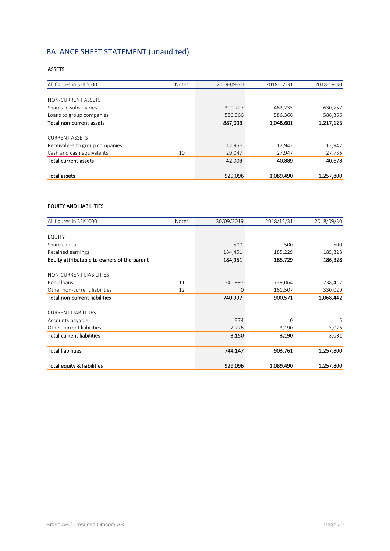## BALANCE SHEET STATEMENT (unaudited)

#### ASSETS

| <b>Total assets</b>            |              | 929,096    | 1,089,490  | 1,257,800  |
|--------------------------------|--------------|------------|------------|------------|
| <b>Total current assets</b>    |              | 42,003     | 40,889     | 40,678     |
| Cash and cash equivalents      | 10           | 29,047     | 27,947     | 27,736     |
| Receivables to group companies |              | 12,956     | 12,942     | 12,942     |
| <b>CURRENT ASSETS</b>          |              |            |            |            |
| Total non-current assets       |              | 887,093    | 1,048,601  | 1,217,123  |
| Loans to group companies       |              | 586,366    | 586,366    | 586,366    |
| Shares in subsidiaries         |              | 300,727    | 462,235    | 630,757    |
| NON-CURRENT ASSETS             |              |            |            |            |
|                                |              |            |            |            |
| All figures in SEK '000        | <b>Notes</b> | 2019-09-30 | 2018-12-31 | 2018-09-30 |

#### EQUITY AND LIABILITIES

| All figures in SEK '000                     | Notes | 30/09/2019 | 2018/12/31 | 2018/09/30 |
|---------------------------------------------|-------|------------|------------|------------|
|                                             |       |            |            |            |
| <b>EQUITY</b>                               |       |            |            |            |
| Share capital                               |       | 500        | 500        | 500        |
| Retained earnings                           |       | 184,451    | 185,229    | 185,828    |
| Equity attributable to owners of the parent |       | 184,951    | 185,729    | 186,328    |
| NON-CURRENT LIABILITIES                     |       |            |            |            |
| Bond loans                                  | 11    | 740,997    | 739,064    | 738,412    |
| Other non-current liabilities               | 12    | 0          | 161,507    | 330,029    |
| <b>Total non-current liabilities</b>        |       | 740,997    | 900,571    | 1,068,442  |
| <b>CURRENT LIABILITIES</b>                  |       |            |            |            |
| Accounts payable                            |       | 374        | $\Omega$   | 5          |
| Other current liabilities                   |       | 2,776      | 3,190      | 3,026      |
| <b>Total current liabilities</b>            |       | 3,150      | 3,190      | 3,031      |
| <b>Total liabilities</b>                    |       | 744,147    | 903,761    | 1,257,800  |
| Total equity & liabilities                  |       | 929,096    | 1,089,490  | 1,257,800  |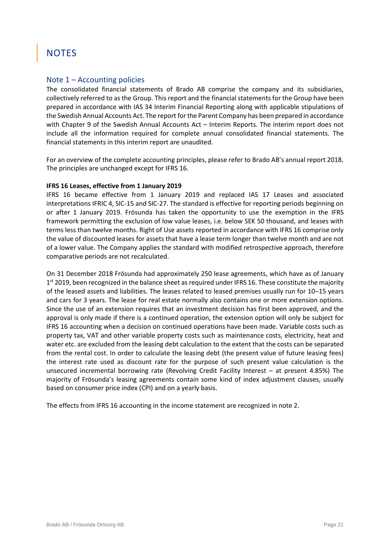## <span id="page-20-0"></span>**NOTES**

#### Note  $1 -$  Accounting policies

The consolidated financial statements of Brado AB comprise the company and its subsidiaries, collectively referred to as the Group. This report and the financial statements for the Group have been prepared in accordance with IAS 34 Interim Financial Reporting along with applicable stipulations of the Swedish Annual Accounts Act. The report for the Parent Company has been prepared in accordance with Chapter 9 of the Swedish Annual Accounts Act – Interim Reports. The interim report does not include all the information required for complete annual consolidated financial statements. The financial statements in this interim report are unaudited.

For an overview of the complete accounting principles, please refer to Brado AB's annual report 2018. The principles are unchanged except for IFRS 16.

#### **IFRS 16 Leases, effective from 1 January 2019**

IFRS 16 became effective from 1 January 2019 and replaced IAS 17 Leases and associated interpretations IFRIC 4, SIC-15 and SIC-27. The standard is effective for reporting periods beginning on or after 1 January 2019. Frösunda has taken the opportunity to use the exemption in the IFRS framework permitting the exclusion of low value leases, i.e. below SEK 50 thousand, and leases with terms less than twelve months. Right of Use assets reported in accordance with IFRS 16 comprise only the value of discounted leases for assets that have a lease term longer than twelve month and are not of a lower value. The Company applies the standard with modified retrospective approach, therefore comparative periods are not recalculated.

On 31 December 2018 Frösunda had approximately 250 lease agreements, which have as of January 1<sup>st</sup> 2019, been recognized in the balance sheet as required under IFRS 16. These constitute the majority of the leased assets and liabilities. The leases related to leased premises usually run for 10–15 years and cars for 3 years. The lease for real estate normally also contains one or more extension options. Since the use of an extension requires that an investment decision has first been approved, and the approval is only made if there is a continued operation, the extension option will only be subject for IFRS 16 accounting when a decision on continued operations have been made. Variable costs such as property tax, VAT and other variable property costs such as maintenance costs, electricity, heat and water etc. are excluded from the leasing debt calculation to the extent that the costs can be separated from the rental cost. In order to calculate the leasing debt (the present value of future leasing fees) the interest rate used as discount rate for the purpose of such present value calculation is the unsecured incremental borrowing rate (Revolving Credit Facility Interest – at present 4.85%) The majority of Frösunda's leasing agreements contain some kind of index adjustment clauses, usually based on consumer price index (CPI) and on a yearly basis.

The effects from IFRS 16 accounting in the income statement are recognized in note 2.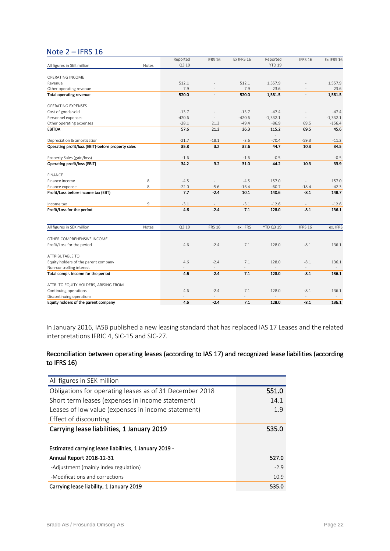#### Note 2 – IFRS 16

|                                                    |       | Reported | IFRS 16                  | Ex IFRS 16 | Reported          | IFRS 16        | Ex IFRS 16 |
|----------------------------------------------------|-------|----------|--------------------------|------------|-------------------|----------------|------------|
| All figures in SEK million                         | Notes | Q3 19    |                          |            | YTD <sub>19</sub> |                |            |
|                                                    |       |          |                          |            |                   |                |            |
| OPERATING INCOME                                   |       |          |                          |            |                   |                |            |
| Revenue                                            |       | 512.1    |                          | 512.1      | 1,557.9           |                | 1,557.9    |
| Other operating revenue                            |       | 7.9      |                          | 7.9        | 23.6              |                | 23.6       |
| Total operating revenue                            |       | 520.0    |                          | 520.0      | 1,581.5           |                | 1,581.5    |
| <b>OPERATING EXPENSES</b>                          |       |          |                          |            |                   |                |            |
| Cost of goods sold                                 |       | $-13.7$  |                          | $-13.7$    | $-47.4$           |                | $-47.4$    |
| Personnel expenses                                 |       | $-420.6$ |                          | $-420.6$   | $-1,332.1$        | $\frac{1}{2}$  | $-1,332.1$ |
| Other operating expenses                           |       | $-28.1$  | 21.3                     | $-49.4$    | $-86.9$           | 69.5           | $-156.4$   |
| <b>EBITDA</b>                                      |       | 57.6     | 21.3                     | 36.3       | 115.2             | 69.5           | 45.6       |
| Depreciation & amortization                        |       | $-21.7$  | $-18.1$                  | $-3.6$     | $-70.4$           | $-59.3$        | $-11.2$    |
| Operating profit/loss (EBIT)-before property sales |       | 35.8     | 3.2                      | 32.6       | 44.7              | 10.3           | 34.5       |
|                                                    |       |          |                          |            |                   |                |            |
| Property Sales (gain/loss)                         |       | $-1.6$   |                          | $-1.6$     | $-0.5$            |                | $-0.5$     |
| Operating profit/loss (EBIT)                       |       | 34.2     | 3.2                      | 31.0       | 44.2              | 10.3           | 33.9       |
| <b>FINANCE</b>                                     |       |          |                          |            |                   |                |            |
| Finance income                                     | 8     | $-4.5$   | $\overline{\phantom{a}}$ | $-4.5$     | 157.0             | $\overline{a}$ | 157.0      |
| Finance expense                                    | 8     | $-22.0$  | $-5.6$                   | $-16.4$    | $-60.7$           | $-18.4$        | $-42.3$    |
| Profit/Loss before income tax (EBT)                |       | 7.7      | $-2.4$                   | 10.1       | 140.6             | $-8.1$         | 148.7      |
| Income tax                                         | 9     | $-3.1$   | $\overline{\phantom{a}}$ | $-3.1$     | $-12.6$           | $\equiv$       | $-12.6$    |
| Profit/Loss for the period                         |       | 4.6      | $-2.4$                   | 7.1        | 128.0             | $-8.1$         | 136.1      |
|                                                    |       |          |                          |            |                   |                |            |
| All figures in SEK million                         | Notes | Q3 19    | IFRS 16                  | ex. IFRS   | <b>YTD Q3 19</b>  | IFRS 16        | ex. IFRS   |
|                                                    |       |          |                          |            |                   |                |            |
| OTHER COMPREHENSIVE INCOME                         |       |          |                          |            |                   |                |            |
| Profit/Loss for the period                         |       | 4.6      | $-2.4$                   | 7.1        | 128.0             | $-8.1$         | 136.1      |
| <b>ATTRIBUTABLE TO</b>                             |       |          |                          |            |                   |                |            |
| Equity holders of the parent company               |       | 4.6      | $-2.4$                   | 7.1        | 128.0             | $-8.1$         | 136.1      |
| Non-controlling interest                           |       |          |                          |            |                   |                |            |
| Total compr. income for the period                 |       | 4.6      | $-2.4$                   | 7.1        | 128.0             | $-8.1$         | 136.1      |
| ATTR. TO EQUITY HOLDERS, ARISING FROM              |       |          |                          |            |                   |                |            |
| Continuing operations                              |       | 4.6      | $-2.4$                   | 7.1        | 128.0             | $-8.1$         | 136.1      |
| Discontinuing operations                           |       |          |                          |            |                   |                |            |
| Equity holders of the parent company               |       | 4.6      | $-2.4$                   | 7.1        | 128.0             | $-8.1$         | 136.1      |

In January 2016, IASB published a new leasing standard that has replaced IAS 17 Leases and the related interpretations IFRIC 4, SIC-15 and SIC-27.

#### Reconciliation between operating leases (according to IAS 17) and recognized lease liabilities (according to IFRS 16)

| All figures in SEK million                              |        |
|---------------------------------------------------------|--------|
| Obligations for operating leases as of 31 December 2018 | 551.0  |
| Short term leases (expenses in income statement)        | 14.1   |
| Leases of low value (expenses in income statement)      | 1.9    |
| Effect of discounting                                   |        |
| Carrying lease liabilities, 1 January 2019              | 535.0  |
|                                                         |        |
| Estimated carrying lease liabilities, 1 January 2019 -  |        |
| Annual Report 2018-12-31                                | 527.0  |
| -Adjustment (mainly index regulation)                   | $-2.9$ |
| -Modifications and corrections                          | 10.9   |
| Carrying lease liability, 1 January 2019                | 535.0  |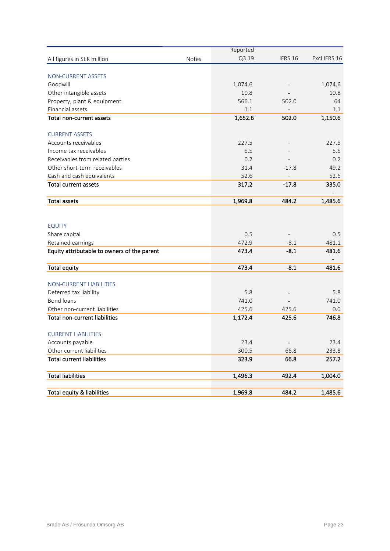|                                             |              | Reported |                          |              |
|---------------------------------------------|--------------|----------|--------------------------|--------------|
| All figures in SEK million                  | <b>Notes</b> | Q3 19    | IFRS 16                  | Excl IFRS 16 |
|                                             |              |          |                          |              |
| <b>NON-CURRENT ASSETS</b>                   |              |          |                          |              |
| Goodwill                                    |              | 1,074.6  |                          | 1,074.6      |
| Other intangible assets                     |              | 10.8     |                          | 10.8         |
| Property, plant & equipment                 |              | 566.1    | 502.0                    | 64           |
| Financial assets                            |              | 1.1      |                          | 1.1          |
| Total non-current assets                    |              | 1,652.6  | 502.0                    | 1,150.6      |
| <b>CURRENT ASSETS</b>                       |              |          |                          |              |
| Accounts receivables                        |              | 227.5    |                          | 227.5        |
| Income tax receivables                      |              | 5.5      |                          | 5.5          |
| Receivables from related parties            |              | 0.2      |                          | 0.2          |
| Other short-term receivables                |              | 31.4     | $-17.8$                  | 49.2         |
| Cash and cash equivalents                   |              | 52.6     |                          | 52.6         |
| <b>Total current assets</b>                 |              | 317.2    | $-17.8$                  | 335.0        |
|                                             |              |          |                          |              |
| <b>Total assets</b>                         |              | 1,969.8  | 484.2                    | 1,485.6      |
|                                             |              |          |                          |              |
|                                             |              |          |                          |              |
| <b>EQUITY</b>                               |              |          |                          |              |
| Share capital                               |              | 0.5      |                          | 0.5          |
| Retained earnings                           |              | 472.9    | $-8.1$                   | 481.1        |
| Equity attributable to owners of the parent |              | 473.4    | $-8.1$                   | 481.6        |
|                                             |              |          |                          |              |
| <b>Total equity</b>                         |              | 473.4    | $-8.1$                   | 481.6        |
|                                             |              |          |                          |              |
| <b>NON-CURRENT LIABILITIES</b>              |              |          |                          |              |
| Deferred tax liability                      |              | 5.8      |                          | 5.8          |
| <b>Bond loans</b>                           |              | 741.0    |                          | 741.0        |
| Other non-current liabilities               |              | 425.6    | 425.6                    | 0.0          |
| <b>Total non-current liabilities</b>        |              | 1,172.4  | 425.6                    | 746.8        |
| <b>CURRENT LIABILITIES</b>                  |              |          |                          |              |
| Accounts payable                            |              | 23.4     | $\overline{\phantom{0}}$ | 23.4         |
| Other current liabilities                   |              | 300.5    | 66.8                     | 233.8        |
| <b>Total current liabilities</b>            |              | 323.9    | 66.8                     | 257.2        |
| <b>Total liabilities</b>                    |              | 1,496.3  | 492.4                    | 1,004.0      |
|                                             |              |          |                          |              |
| Total equity & liabilities                  |              | 1,969.8  | 484.2                    | 1,485.6      |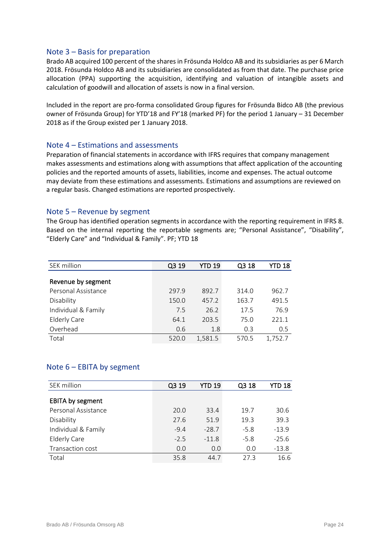#### Note 3 – Basis for preparation

Brado AB acquired 100 percent of the shares in Frösunda Holdco AB and its subsidiaries as per 6 March 2018. Frösunda Holdco AB and its subsidiaries are consolidated as from that date. The purchase price allocation (PPA) supporting the acquisition, identifying and valuation of intangible assets and calculation of goodwill and allocation of assets is now in a final version.

Included in the report are pro-forma consolidated Group figures for Frösunda Bidco AB (the previous owner of Frösunda Group) for YTD'18 and FY'18 (marked PF) for the period 1 January – 31 December 2018 as if the Group existed per 1 January 2018.

#### Note 4 – Estimations and assessments

Preparation of financial statements in accordance with IFRS requires that company management makes assessments and estimations along with assumptions that affect application of the accounting policies and the reported amounts of assets, liabilities, income and expenses. The actual outcome may deviate from these estimations and assessments. Estimations and assumptions are reviewed on a regular basis. Changed estimations are reported prospectively.

#### Note 5 – Revenue by segment

The Group has identified operation segments in accordance with the reporting requirement in IFRS 8. Based on the internal reporting the reportable segments are; "Personal Assistance", "Disability", "Elderly Care" and "Individual & Family". PF; YTD 18

| SEK million         | Q3 19 | YTD 19  | Q3 18 | YTD 18  |
|---------------------|-------|---------|-------|---------|
|                     |       |         |       |         |
| Revenue by segment  |       |         |       |         |
| Personal Assistance | 297.9 | 892.7   | 314.0 | 962.7   |
| Disability          | 150.0 | 457.2   | 163.7 | 491.5   |
| Individual & Family | 7.5   | 26.2    | 17.5  | 76.9    |
| <b>Elderly Care</b> | 64.1  | 203.5   | 75.0  | 221.1   |
| Overhead            | 0.6   | 1.8     | 0.3   | 0.5     |
| Total               | 520.0 | 1,581.5 | 570.5 | 1,752.7 |

#### Note 6 – EBITA by segment

| SEK million         | Q3 19  | YTD 19  | Q3 18  | YTD 18  |
|---------------------|--------|---------|--------|---------|
| EBITA by segment    |        |         |        |         |
| Personal Assistance | 20.0   | 33.4    | 19.7   | 30.6    |
| Disability          | 27.6   | 51.9    | 19.3   | 39.3    |
| Individual & Family | $-9.4$ | $-28.7$ | $-5.8$ | $-13.9$ |
| <b>Elderly Care</b> | $-2.5$ | $-11.8$ | $-5.8$ | $-25.6$ |
| Transaction cost    | 0.0    | 0.0     | 0.0    | $-13.8$ |
| Total               | 35.8   | 44.7    | 27.3   | 16.6    |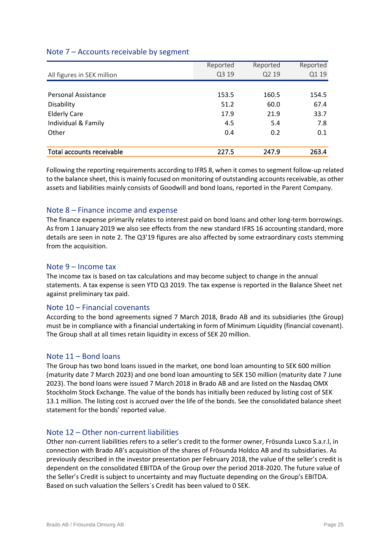#### Note 7 – Accounts receivable by segment

|                            | Reported | Reported | Reported |
|----------------------------|----------|----------|----------|
| All figures in SEK million | Q3 19    | Q2 19    | Q1 19    |
|                            |          |          |          |
| <b>Personal Assistance</b> | 153.5    | 160.5    | 154.5    |
| Disability                 | 51.2     | 60.0     | 67.4     |
| <b>Elderly Care</b>        | 17.9     | 21.9     | 33.7     |
| Individual & Family        | 4.5      | 5.4      | 7.8      |
| Other                      | 0.4      | 0.2      | 0.1      |
|                            |          |          |          |
| Total accounts receivable  | 227.5    | 247.9    | 263.4    |

Following the reporting requirements according to IFRS 8, when it comes to segment follow-up related to the balance sheet, this is mainly focused on monitoring of outstanding accounts receivable, as other assets and liabilities mainly consists of Goodwill and bond loans, reported in the Parent Company.

#### Note 8 – Finance income and expense

The finance expense primarily relates to interest paid on bond loans and other long-term borrowings. As from 1 January 2019 we also see effects from the new standard IFRS 16 accounting standard, more details are seen in note 2. The Q3'19 figures are also affected by some extraordinary costs stemming from the acquisition.

#### Note 9 – Income tax

The income tax is based on tax calculations and may become subject to change in the annual statements. A tax expense is seen YTD Q3 2019. The tax expense is reported in the Balance Sheet net against preliminary tax paid.

#### Note 10 – Financial covenants

According to the bond agreements signed 7 March 2018, Brado AB and its subsidiaries (the Group) must be in compliance with a financial undertaking in form of Minimum Liquidity (financial covenant). The Group shall at all times retain liquidity in excess of SEK 20 million.

#### Note 11 – Bond loans

The Group has two bond loans issued in the market, one bond loan amounting to SEK 600 million (maturity date 7 March 2023) and one bond loan amounting to SEK 150 million (maturity date 7 June 2023). The bond loans were issued 7 March 2018 in Brado AB and are listed on the Nasdaq OMX Stockholm Stock Exchange. The value of the bonds has initially been reduced by listing cost of SEK 13.1 million. The listing cost is accrued over the life of the bonds. See the consolidated balance sheet statement for the bonds' reported value.

#### Note 12 – Other non-current liabilities

Other non-current liabilities refers to a seller's credit to the former owner, Frösunda Luxco S.a.r.l, in connection with Brado AB's acquisition of the shares of Frösunda Holdco AB and its subsidiaries. As previously described in the investor presentation per February 2018, the value of the seller's credit is dependent on the consolidated EBITDA of the Group over the period 2018-2020. The future value of the Seller's Credit is subject to uncertainty and may fluctuate depending on the Group's EBITDA. Based on such valuation the Sellers´s Credit has been valued to 0 SEK.